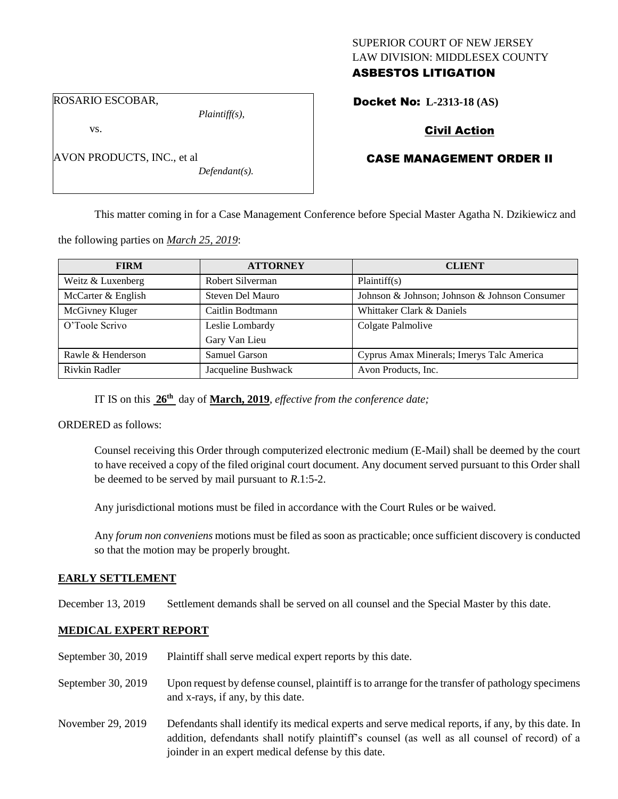## SUPERIOR COURT OF NEW JERSEY LAW DIVISION: MIDDLESEX COUNTY ASBESTOS LITIGATION

ROSARIO ESCOBAR,

AVON PRODUCTS, INC., et al

vs.

*Plaintiff(s),*

*Defendant(s).*

# Docket No: **L-2313-18 (AS)**

# Civil Action

# CASE MANAGEMENT ORDER II

This matter coming in for a Case Management Conference before Special Master Agatha N. Dzikiewicz and

the following parties on *March 25, 2019*:

| <b>FIRM</b>          | <b>ATTORNEY</b>     | <b>CLIENT</b>                                 |
|----------------------|---------------------|-----------------------------------------------|
| Weitz & Luxenberg    | Robert Silverman    | Plaintiff(s)                                  |
| McCarter & English   | Steven Del Mauro    | Johnson & Johnson; Johnson & Johnson Consumer |
| McGivney Kluger      | Caitlin Bodtmann    | Whittaker Clark & Daniels                     |
| O'Toole Scrivo       | Leslie Lombardy     | Colgate Palmolive                             |
|                      | Gary Van Lieu       |                                               |
| Rawle & Henderson    | Samuel Garson       | Cyprus Amax Minerals; Imerys Talc America     |
| <b>Rivkin Radler</b> | Jacqueline Bushwack | Avon Products, Inc.                           |

IT IS on this **26th** day of **March, 2019**, *effective from the conference date;*

ORDERED as follows:

Counsel receiving this Order through computerized electronic medium (E-Mail) shall be deemed by the court to have received a copy of the filed original court document. Any document served pursuant to this Order shall be deemed to be served by mail pursuant to *R*.1:5-2.

Any jurisdictional motions must be filed in accordance with the Court Rules or be waived.

Any *forum non conveniens* motions must be filed as soon as practicable; once sufficient discovery is conducted so that the motion may be properly brought.

#### **EARLY SETTLEMENT**

December 13, 2019 Settlement demands shall be served on all counsel and the Special Master by this date.

## **MEDICAL EXPERT REPORT**

| September 30, 2019 | Plaintiff shall serve medical expert reports by this date.                                                                                                                                                                                               |
|--------------------|----------------------------------------------------------------------------------------------------------------------------------------------------------------------------------------------------------------------------------------------------------|
| September 30, 2019 | Upon request by defense counsel, plaintiff is to arrange for the transfer of pathology specimens<br>and x-rays, if any, by this date.                                                                                                                    |
| November 29, 2019  | Defendants shall identify its medical experts and serve medical reports, if any, by this date. In<br>addition, defendants shall notify plaintiff's counsel (as well as all counsel of record) of a<br>joinder in an expert medical defense by this date. |